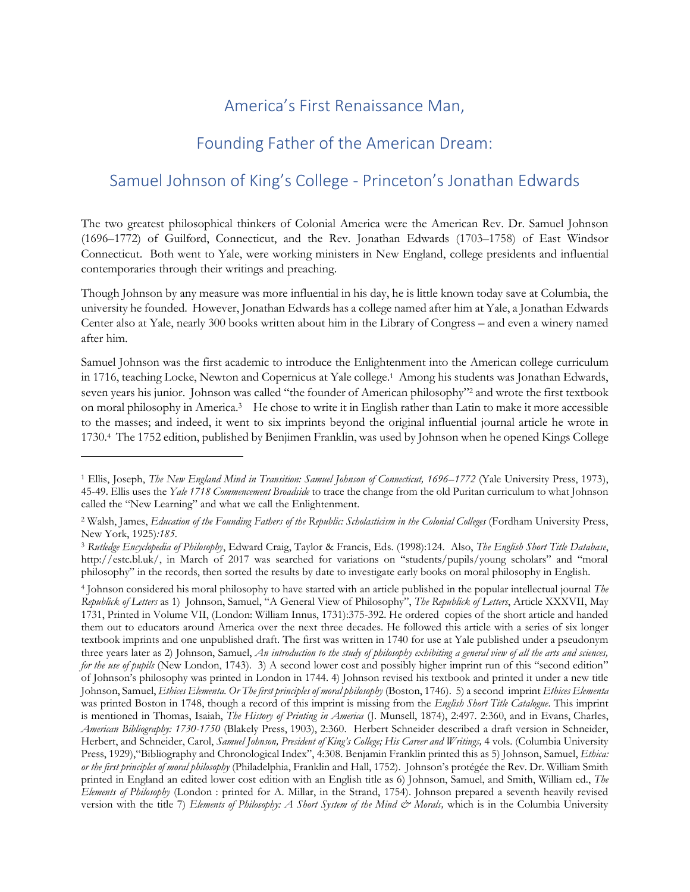## America's First Renaissance Man,

## Founding Father of the American Dream:

## Samuel Johnson of King's College - Princeton's Jonathan Edwards

The two greatest philosophical thinkers of Colonial America were the American Rev. Dr. Samuel Johnson (1696–1772) of Guilford, Connecticut, and the Rev. Jonathan Edwards (1703–1758) of East Windsor Connecticut. Both went to Yale, were working ministers in New England, college presidents and influential contemporaries through their writings and preaching.

Though Johnson by any measure was more influential in his day, he is little known today save at Columbia, the university he founded. However, Jonathan Edwards has a college named after him at Yale, a Jonathan Edwards Center also at Yale, nearly 300 books written about him in the Library of Congress – and even a winery named after him.

Samuel Johnson was the first academic to introduce the Enlightenment into the American college curriculum in 1716, teaching Locke, Newton and Copernicus at Yale college. 1 Among his students was Jonathan Edwards, seven years his junior. Johnson was called "the founder of American philosophy"<sup>2</sup> and wrote the first textbook on moral philosophy in America.<sup>3</sup> He chose to write it in English rather than Latin to make it more accessible to the masses; and indeed, it went to six imprints beyond the original influential journal article he wrote in 1730.<sup>4</sup> The 1752 edition, published by Benjimen Franklin, was used by Johnson when he opened Kings College

<sup>1</sup> Ellis, Joseph, *The New England Mind in Transition: Samuel Johnson of Connecticut, 1696–1772* (Yale University Press, 1973), 45-49. Ellis uses the *Yale 1718 Commencement Broadside* to trace the change from the old Puritan curriculum to what Johnson called the "New Learning" and what we call the Enlightenment.

<sup>2</sup> Walsh, James, *Education of the Founding Fathers of the Republic: Scholasticism in the Colonial Colleges* (Fordham University Press, New York, 1925)*:185.*

<sup>3</sup> *Rutledge Encyclopedia of Philosophy*, Edward Craig, Taylor & Francis, Eds. (1998):124. Also, *The English Short Title Database*, http://estc.bl.uk/, in March of 2017 was searched for variations on "students/pupils/young scholars" and "moral philosophy" in the records, then sorted the results by date to investigate early books on moral philosophy in English.

<sup>4</sup> Johnson considered his moral philosophy to have started with an article published in the popular intellectual journal *The Republick of Letters* as 1) Johnson, Samuel, "A General View of Philosophy", *The Republick of Letters*, Article XXXVII, May 1731, Printed in Volume VII, (London: William Innus, 1731):375-392. He ordered copies of the short article and handed them out to educators around America over the next three decades. He followed this article with a series of six longer textbook imprints and one unpublished draft. The first was written in 1740 for use at Yale published under a pseudonym three years later as 2) Johnson, Samuel, *An introduction to the study of philosophy exhibiting a general view of all the arts and sciences, for the use of pupils* (New London, 1743). 3) A second lower cost and possibly higher imprint run of this "second edition" of Johnson's philosophy was printed in London in 1744. 4) Johnson revised his textbook and printed it under a new title Johnson, Samuel, *Ethices Elementa. Or The first principles of moral philosophy* (Boston, 1746). 5) a second imprint *Ethices Elementa* was printed Boston in 1748, though a record of this imprint is missing from the *English Short Title Catalogue*. This imprint is mentioned in Thomas, Isaiah, *The History of Printing in America* (J. Munsell, 1874), 2:497. 2:360, and in Evans, Charles, *American Bibliography: 1730-1750* (Blakely Press, 1903), 2:360. Herbert Schneider described a draft version in Schneider, Herbert, and Schneider, Carol, *Samuel Johnson, President of King's College; His Career and Writings,* 4 vols. (Columbia University Press, 1929),"Bibliography and Chronological Index", 4:308. Benjamin Franklin printed this as 5) Johnson, Samuel, *Ethica: or the first principles of moral philosophy* (Philadelphia, Franklin and Hall, 1752). Johnson's protégée the Rev. Dr. William Smith printed in England an edited lower cost edition with an English title as 6) Johnson, Samuel, and Smith, William ed., *The Elements of Philosophy* (London : printed for A. Millar, in the Strand, 1754). Johnson prepared a seventh heavily revised version with the title 7) *Elements of Philosophy: A Short System of the Mind & Morals*, which is in the Columbia University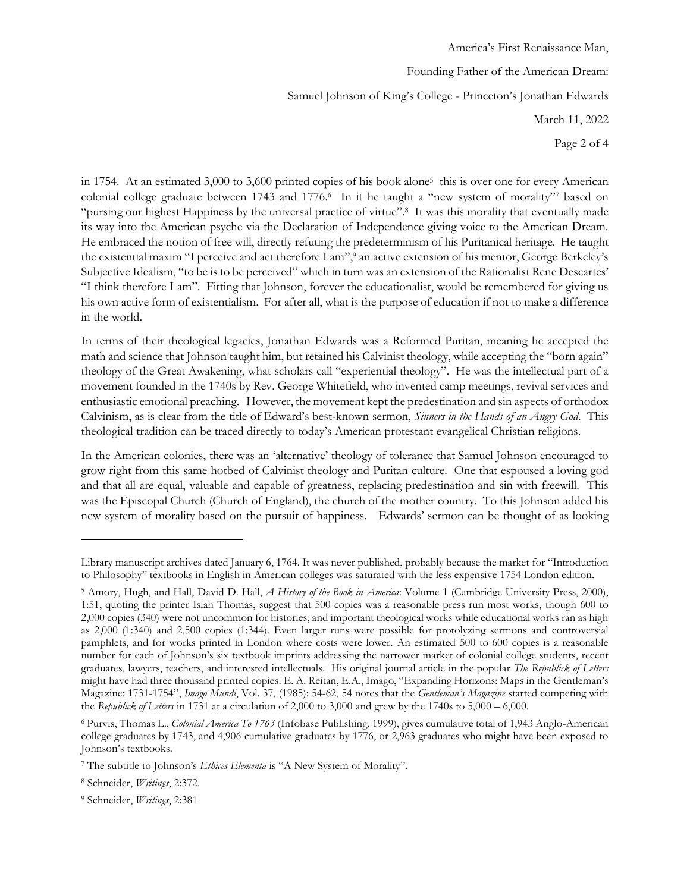America's First Renaissance Man, Founding Father of the American Dream: Samuel Johnson of King's College - Princeton's Jonathan Edwards March 11, 2022 Page 2 of 4

in 1754. At an estimated 3,000 to 3,600 printed copies of his book alone<sup>5</sup> this is over one for every American colonial college graduate between 1743 and 1776.<sup>6</sup> In it he taught a "new system of morality"7 based on "pursing our highest Happiness by the universal practice of virtue".<sup>8</sup> It was this morality that eventually made its way into the American psyche via the Declaration of Independence giving voice to the American Dream. He embraced the notion of free will, directly refuting the predeterminism of his Puritanical heritage. He taught the existential maxim "I perceive and act therefore I am",<sup>9</sup> an active extension of his mentor, George Berkeley's Subjective Idealism, "to be is to be perceived" which in turn was an extension of the Rationalist Rene Descartes' "I think therefore I am". Fitting that Johnson, forever the educationalist, would be remembered for giving us his own active form of existentialism. For after all, what is the purpose of education if not to make a difference in the world.

In terms of their theological legacies, Jonathan Edwards was a Reformed Puritan, meaning he accepted the math and science that Johnson taught him, but retained his Calvinist theology, while accepting the "born again" theology of the Great Awakening, what scholars call "experiential theology". He was the intellectual part of a movement founded in the 1740s by Rev. George Whitefield, who invented camp meetings, revival services and enthusiastic emotional preaching. However, the movement kept the predestination and sin aspects of orthodox Calvinism, as is clear from the title of Edward's best-known sermon, *Sinners in the Hands of an Angry God*. This theological tradition can be traced directly to today's American protestant evangelical Christian religions.

In the American colonies, there was an 'alternative' theology of tolerance that Samuel Johnson encouraged to grow right from this same hotbed of Calvinist theology and Puritan culture. One that espoused a loving god and that all are equal, valuable and capable of greatness, replacing predestination and sin with freewill. This was the Episcopal Church (Church of England), the church of the mother country. To this Johnson added his new system of morality based on the pursuit of happiness. Edwards' sermon can be thought of as looking

Library manuscript archives dated January 6, 1764. It was never published, probably because the market for "Introduction to Philosophy" textbooks in English in American colleges was saturated with the less expensive 1754 London edition.

<sup>5</sup> Amory, Hugh, and Hall, David D. Hall, *A History of the Book in America*: Volume 1 (Cambridge University Press, 2000), 1:51, quoting the printer Isiah Thomas, suggest that 500 copies was a reasonable press run most works, though 600 to 2,000 copies (340) were not uncommon for histories, and important theological works while educational works ran as high as 2,000 (1:340) and 2,500 copies (1:344). Even larger runs were possible for protolyzing sermons and controversial pamphlets, and for works printed in London where costs were lower. An estimated 500 to 600 copies is a reasonable number for each of Johnson's six textbook imprints addressing the narrower market of colonial college students, recent graduates, lawyers, teachers, and interested intellectuals. His original journal article in the popular *The Republick of Letters*  might have had three thousand printed copies. E. A. Reitan, E.A., Imago, "Expanding Horizons: Maps in the Gentleman's Magazine: 1731-1754", *Imago Mundi*, Vol. 37, (1985): 54-62, 54 notes that the *Gentleman's Magazine* started competing with the *Republick of Letters* in 1731 at a circulation of 2,000 to 3,000 and grew by the 1740s to 5,000 – 6,000.

<sup>6</sup> Purvis, Thomas L., *Colonial America To 1763* (Infobase Publishing, 1999), gives cumulative total of 1,943 Anglo-American college graduates by 1743, and 4,906 cumulative graduates by 1776, or 2,963 graduates who might have been exposed to Johnson's textbooks.

<sup>7</sup> The subtitle to Johnson's *Ethices Elementa* is "A New System of Morality".

<sup>8</sup> Schneider, *Writings*, 2:372.

<sup>9</sup> Schneider, *Writings*, 2:381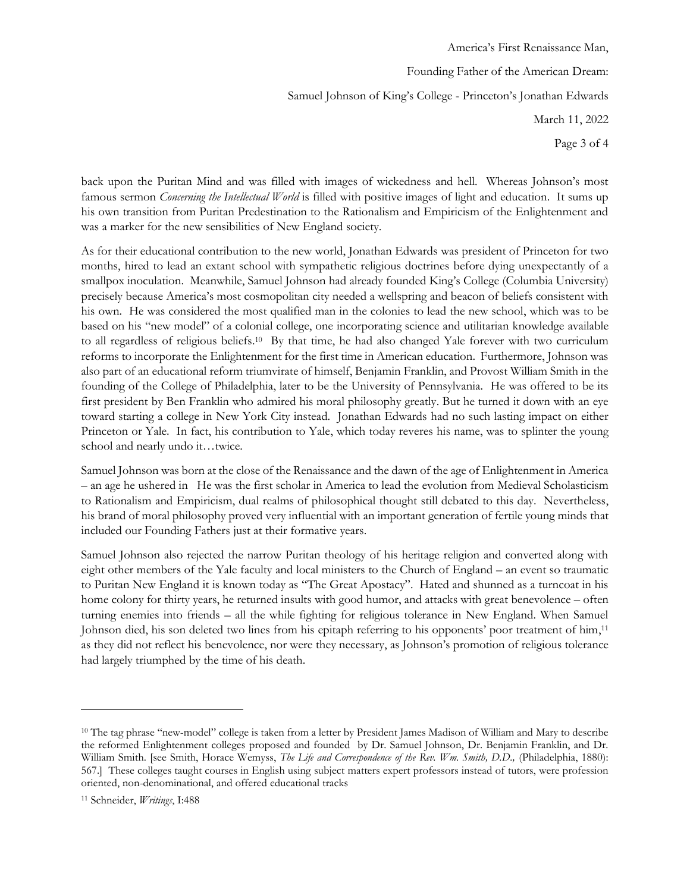America's First Renaissance Man, Founding Father of the American Dream: Samuel Johnson of King's College - Princeton's Jonathan Edwards March 11, 2022 Page 3 of 4

back upon the Puritan Mind and was filled with images of wickedness and hell. Whereas Johnson's most famous sermon *Concerning the Intellectual World* is filled with positive images of light and education. It sums up his own transition from Puritan Predestination to the Rationalism and Empiricism of the Enlightenment and was a marker for the new sensibilities of New England society.

As for their educational contribution to the new world, Jonathan Edwards was president of Princeton for two months, hired to lead an extant school with sympathetic religious doctrines before dying unexpectantly of a smallpox inoculation. Meanwhile, Samuel Johnson had already founded King's College (Columbia University) precisely because America's most cosmopolitan city needed a wellspring and beacon of beliefs consistent with his own. He was considered the most qualified man in the colonies to lead the new school, which was to be based on his "new model" of a colonial college, one incorporating science and utilitarian knowledge available to all regardless of religious beliefs.<sup>10</sup> By that time, he had also changed Yale forever with two curriculum reforms to incorporate the Enlightenment for the first time in American education. Furthermore, Johnson was also part of an educational reform triumvirate of himself, Benjamin Franklin, and Provost William Smith in the founding of the College of Philadelphia, later to be the University of Pennsylvania. He was offered to be its first president by Ben Franklin who admired his moral philosophy greatly. But he turned it down with an eye toward starting a college in New York City instead. Jonathan Edwards had no such lasting impact on either Princeton or Yale. In fact, his contribution to Yale, which today reveres his name, was to splinter the young school and nearly undo it…twice.

Samuel Johnson was born at the close of the Renaissance and the dawn of the age of Enlightenment in America – an age he ushered in He was the first scholar in America to lead the evolution from Medieval Scholasticism to Rationalism and Empiricism, dual realms of philosophical thought still debated to this day. Nevertheless, his brand of moral philosophy proved very influential with an important generation of fertile young minds that included our Founding Fathers just at their formative years.

Samuel Johnson also rejected the narrow Puritan theology of his heritage religion and converted along with eight other members of the Yale faculty and local ministers to the Church of England – an event so traumatic to Puritan New England it is known today as "The Great Apostacy". Hated and shunned as a turncoat in his home colony for thirty years, he returned insults with good humor, and attacks with great benevolence – often turning enemies into friends – all the while fighting for religious tolerance in New England. When Samuel Johnson died, his son deleted two lines from his epitaph referring to his opponents' poor treatment of him,<sup>11</sup> as they did not reflect his benevolence, nor were they necessary, as Johnson's promotion of religious tolerance had largely triumphed by the time of his death.

<sup>&</sup>lt;sup>10</sup> The tag phrase "new-model" college is taken from a letter by President James Madison of William and Mary to describe the reformed Enlightenment colleges proposed and founded by Dr. Samuel Johnson, Dr. Benjamin Franklin, and Dr. William Smith. [see Smith, Horace Wemyss, *The Life and Correspondence of the Rev. Wm. Smith, D.D.,* (Philadelphia, 1880): 567.] These colleges taught courses in English using subject matters expert professors instead of tutors, were profession oriented, non-denominational, and offered educational tracks

<sup>11</sup> Schneider, *Writings*, I:488